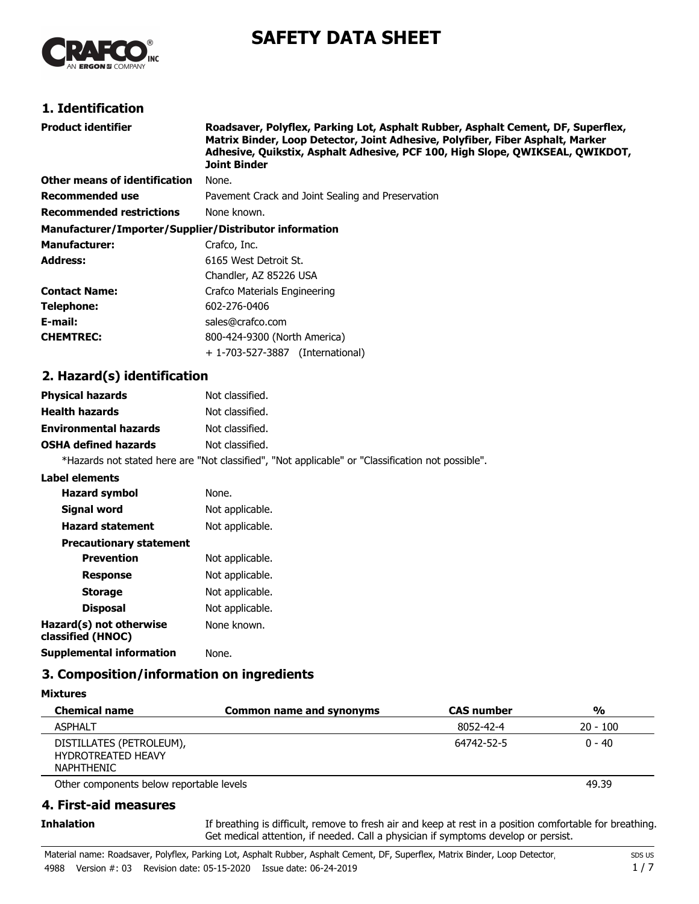

# **SAFETY DATA SHEET**

# **1. Identification**

| Product identifier                                     | Roadsaver, Polyflex, Parking Lot, Asphalt Rubber, Asphalt Cement, DF, Superflex,<br>Matrix Binder, Loop Detector, Joint Adhesive, Polyfiber, Fiber Asphalt, Marker<br>Adhesive, Quikstix, Asphalt Adhesive, PCF 100, High Slope, QWIKSEAL, QWIKDOT,<br><b>Joint Binder</b> |
|--------------------------------------------------------|----------------------------------------------------------------------------------------------------------------------------------------------------------------------------------------------------------------------------------------------------------------------------|
| Other means of identification                          | None.                                                                                                                                                                                                                                                                      |
| Recommended use                                        | Pavement Crack and Joint Sealing and Preservation                                                                                                                                                                                                                          |
| <b>Recommended restrictions</b>                        | None known.                                                                                                                                                                                                                                                                |
| Manufacturer/Importer/Supplier/Distributor information |                                                                                                                                                                                                                                                                            |
| <b>Manufacturer:</b>                                   | Crafco, Inc.                                                                                                                                                                                                                                                               |
| Address:                                               | 6165 West Detroit St.                                                                                                                                                                                                                                                      |
|                                                        | Chandler, AZ 85226 USA                                                                                                                                                                                                                                                     |
| Contact Name:                                          | Crafco Materials Engineering                                                                                                                                                                                                                                               |
| Telephone:                                             | 602-276-0406                                                                                                                                                                                                                                                               |
| E-mail:                                                | sales@crafco.com                                                                                                                                                                                                                                                           |
| <b>CHEMTREC:</b>                                       | 800-424-9300 (North America)                                                                                                                                                                                                                                               |
|                                                        | + 1-703-527-3887 (International)                                                                                                                                                                                                                                           |

### **2. Hazard(s) identification**

| <b>Physical hazards</b>      | Not classified.                                                                                   |
|------------------------------|---------------------------------------------------------------------------------------------------|
| <b>Health hazards</b>        | Not classified.                                                                                   |
| <b>Environmental hazards</b> | Not classified.                                                                                   |
| <b>OSHA defined hazards</b>  | Not classified.                                                                                   |
|                              | *Hazards not stated here are "Not classified", "Not applicable" or "Classification not possible". |

#### **Label elements**

| <b>Hazard symbol</b>                         | None.           |
|----------------------------------------------|-----------------|
| Signal word                                  | Not applicable. |
| <b>Hazard statement</b>                      | Not applicable. |
| <b>Precautionary statement</b>               |                 |
| <b>Prevention</b>                            | Not applicable. |
| <b>Response</b>                              | Not applicable. |
| <b>Storage</b>                               | Not applicable. |
| <b>Disposal</b>                              | Not applicable. |
| Hazard(s) not otherwise<br>classified (HNOC) | None known.     |
| Supplemental information                     | None.           |

# **3. Composition/information on ingredients**

**Mixtures**

| <b>Chemical name</b>                                                       | <b>Common name and synonyms</b> | <b>CAS</b> number | $\frac{0}{0}$ |
|----------------------------------------------------------------------------|---------------------------------|-------------------|---------------|
| <b>ASPHALT</b>                                                             |                                 | 8052-42-4         | $20 - 100$    |
| DISTILLATES (PETROLEUM),<br><b>HYDROTREATED HEAVY</b><br><b>NAPHTHENIC</b> |                                 | 64742-52-5        | $0 - 40$      |

Other components below reportable levels **ACCOL** 20039 **COMPONENT ACCOLLETE ACCOLLET** 49.39

### **4. First-aid measures**

**Inhalation**

If breathing is difficult, remove to fresh air and keep at rest in a position comfortable for breathing. Get medical attention, if needed. Call a physician if symptoms develop or persist.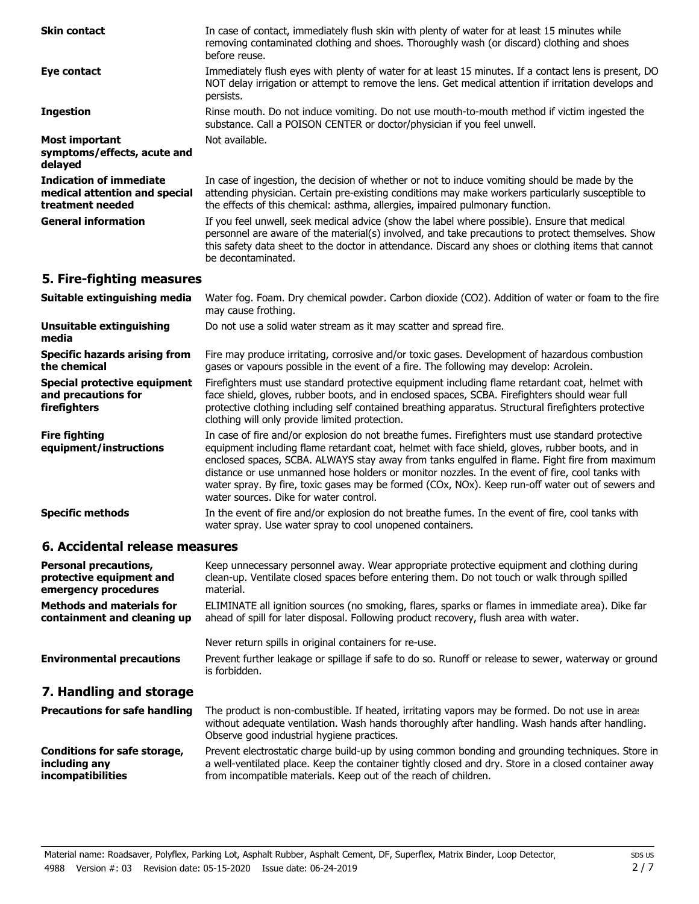| In case of contact, immediately flush skin with plenty of water for at least 15 minutes while<br>removing contaminated clothing and shoes. Thoroughly wash (or discard) clothing and shoes<br>before reuse.                                                                                                                    |  |  |
|--------------------------------------------------------------------------------------------------------------------------------------------------------------------------------------------------------------------------------------------------------------------------------------------------------------------------------|--|--|
| Immediately flush eyes with plenty of water for at least 15 minutes. If a contact lens is present, DO<br>NOT delay irrigation or attempt to remove the lens. Get medical attention if irritation develops and<br>persists.                                                                                                     |  |  |
| Rinse mouth. Do not induce vomiting. Do not use mouth-to-mouth method if victim ingested the<br>substance. Call a POISON CENTER or doctor/physician if you feel unwell.                                                                                                                                                        |  |  |
| Not available.                                                                                                                                                                                                                                                                                                                 |  |  |
| In case of ingestion, the decision of whether or not to induce vomiting should be made by the<br>attending physician. Certain pre-existing conditions may make workers particularly susceptible to<br>the effects of this chemical: asthma, allergies, impaired pulmonary function.                                            |  |  |
| If you feel unwell, seek medical advice (show the label where possible). Ensure that medical<br>personnel are aware of the material(s) involved, and take precautions to protect themselves. Show<br>this safety data sheet to the doctor in attendance. Discard any shoes or clothing items that cannot<br>be decontaminated. |  |  |
| 5. Fire-fighting measures                                                                                                                                                                                                                                                                                                      |  |  |
| Water fog. Foam. Dry chemical powder. Carbon dioxide (CO2). Addition of water or foam to the fire<br>may cause frothing.                                                                                                                                                                                                       |  |  |
| Do not use a solid water stream as it may scatter and spread fire.                                                                                                                                                                                                                                                             |  |  |
| Fire may produce irritating, corrosive and/or toxic gases. Development of hazardous combustion<br>gases or vapours possible in the event of a fire. The following may develop: Acrolein.                                                                                                                                       |  |  |
|                                                                                                                                                                                                                                                                                                                                |  |  |

Firefighters must use standard protective equipment including flame retardant coat, helmet with face shield, gloves, rubber boots, and in enclosed spaces, SCBA. Firefighters should wear full protective clothing including self contained breathing apparatus. Structural firefighters protective clothing will only provide limited protection. **Special protective equipment and precautions for firefighters**

In case of fire and/or explosion do not breathe fumes. Firefighters must use standard protective equipment including flame retardant coat, helmet with face shield, gloves, rubber boots, and in enclosed spaces, SCBA. ALWAYS stay away from tanks engulfed in flame. Fight fire from maximum distance or use unmanned hose holders or monitor nozzles. In the event of fire, cool tanks with water spray. By fire, toxic gases may be formed (COx, NOx). Keep run-off water out of sewers and water sources. Dike for water control. **Fire fighting equipment/instructions**

In the event of fire and/or explosion do not breathe fumes. In the event of fire, cool tanks with water spray. Use water spray to cool unopened containers. **Specific methods**

# **6. Accidental release measures**

| <b>Personal precautions,</b>     | Keep unnecessary personnel away. Wear appropriate protective equipment and clothing during                                                                                      |
|----------------------------------|---------------------------------------------------------------------------------------------------------------------------------------------------------------------------------|
| protective equipment and         | clean-up. Ventilate closed spaces before entering them. Do not touch or walk through spilled                                                                                    |
| emergency procedures             | material.                                                                                                                                                                       |
| <b>Methods and materials for</b> | ELIMINATE all ignition sources (no smoking, flares, sparks or flames in immediate area). Dike far                                                                               |
| containment and cleaning up      | ahead of spill for later disposal. Following product recovery, flush area with water.                                                                                           |
| <b>Environmental precautions</b> | Never return spills in original containers for re-use.<br>Prevent further leakage or spillage if safe to do so. Runoff or release to sewer, waterway or ground<br>is forbidden. |

# **7. Handling and storage**

The product is non-combustible. If heated, irritating vapors may be formed. Do not use in areas without adequate ventilation. Wash hands thoroughly after handling. Wash hands after handling. Observe good industrial hygiene practices. **Precautions for safe handling** Prevent electrostatic charge build-up by using common bonding and grounding techniques. Store in **Conditions for safe storage,**

a well-ventilated place. Keep the container tightly closed and dry. Store in a closed container away from incompatible materials. Keep out of the reach of children. **including any incompatibilities**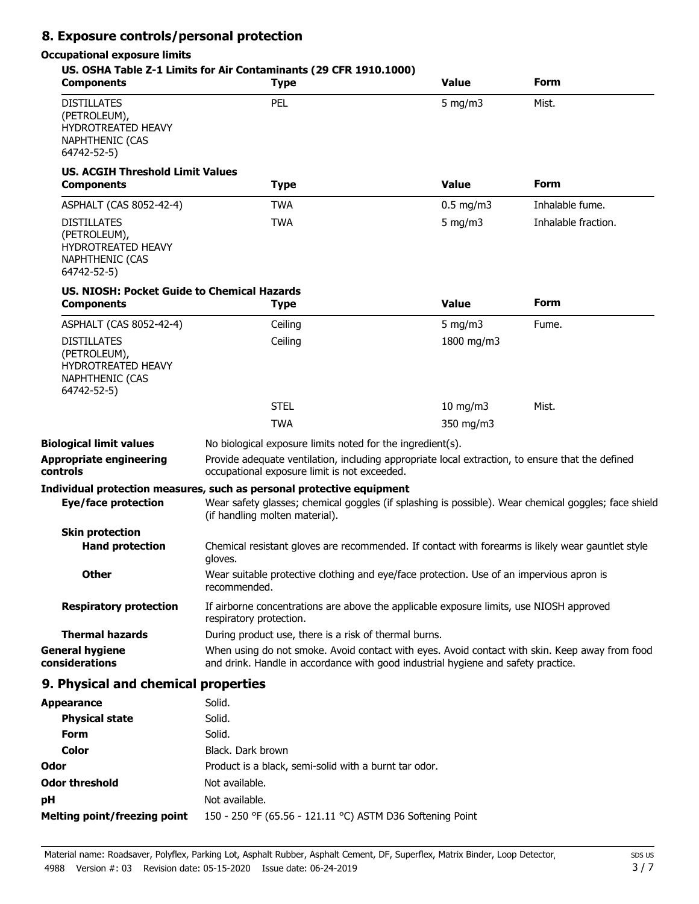# **8. Exposure controls/personal protection**

# **Occupational exposure limits**

| <b>Components</b>                                                                                        | US. OSHA Table Z-1 Limits for Air Contaminants (29 CFR 1910.1000)<br><b>Type</b>                                                                                                    | <b>Value</b>  | Form                |
|----------------------------------------------------------------------------------------------------------|-------------------------------------------------------------------------------------------------------------------------------------------------------------------------------------|---------------|---------------------|
| <b>DISTILLATES</b><br>(PETROLEUM),<br><b>HYDROTREATED HEAVY</b><br><b>NAPHTHENIC (CAS</b><br>64742-52-5) | PEL                                                                                                                                                                                 | $5$ mg/m $3$  | Mist.               |
| <b>US. ACGIH Threshold Limit Values</b><br><b>Components</b>                                             | <b>Type</b>                                                                                                                                                                         | <b>Value</b>  | <b>Form</b>         |
| ASPHALT (CAS 8052-42-4)                                                                                  | <b>TWA</b>                                                                                                                                                                          | $0.5$ mg/m3   | Inhalable fume.     |
| <b>DISTILLATES</b><br>(PETROLEUM),<br><b>HYDROTREATED HEAVY</b><br><b>NAPHTHENIC (CAS</b><br>64742-52-5) | <b>TWA</b>                                                                                                                                                                          | 5 mg/m $3$    | Inhalable fraction. |
| US. NIOSH: Pocket Guide to Chemical Hazards<br><b>Components</b>                                         | <b>Type</b>                                                                                                                                                                         | <b>Value</b>  | Form                |
| ASPHALT (CAS 8052-42-4)                                                                                  | Ceiling                                                                                                                                                                             | 5 mg/m $3$    | Fume.               |
| <b>DISTILLATES</b><br>(PETROLEUM),<br><b>HYDROTREATED HEAVY</b><br><b>NAPHTHENIC (CAS</b><br>64742-52-5) | Ceiling                                                                                                                                                                             | 1800 mg/m3    |                     |
|                                                                                                          | <b>STEL</b>                                                                                                                                                                         | $10$ mg/m $3$ | Mist.               |
|                                                                                                          | <b>TWA</b>                                                                                                                                                                          | 350 mg/m3     |                     |
| <b>Biological limit values</b>                                                                           | No biological exposure limits noted for the ingredient(s).                                                                                                                          |               |                     |
| <b>Appropriate engineering</b><br>controls                                                               | Provide adequate ventilation, including appropriate local extraction, to ensure that the defined<br>occupational exposure limit is not exceeded.                                    |               |                     |
|                                                                                                          | Individual protection measures, such as personal protective equipment                                                                                                               |               |                     |
| Eye/face protection                                                                                      | Wear safety glasses; chemical goggles (if splashing is possible). Wear chemical goggles; face shield<br>(if handling molten material).                                              |               |                     |
| <b>Skin protection</b>                                                                                   |                                                                                                                                                                                     |               |                     |
| <b>Hand protection</b>                                                                                   | Chemical resistant gloves are recommended. If contact with forearms is likely wear gauntlet style<br>gloves.                                                                        |               |                     |
| Other                                                                                                    | Wear suitable protective clothing and eye/face protection. Use of an impervious apron is<br>recommended.                                                                            |               |                     |
| <b>Respiratory protection</b>                                                                            | If airborne concentrations are above the applicable exposure limits, use NIOSH approved<br>respiratory protection.                                                                  |               |                     |
| <b>Thermal hazards</b>                                                                                   | During product use, there is a risk of thermal burns.                                                                                                                               |               |                     |
| <b>General hygiene</b><br>considerations                                                                 | When using do not smoke. Avoid contact with eyes. Avoid contact with skin. Keep away from food<br>and drink. Handle in accordance with good industrial hygiene and safety practice. |               |                     |
| 9. Physical and chemical properties                                                                      |                                                                                                                                                                                     |               |                     |
| <b>Appearance</b>                                                                                        | Solid.                                                                                                                                                                              |               |                     |
| <b>Physical state</b>                                                                                    | Solid.                                                                                                                                                                              |               |                     |
| Form                                                                                                     | Solid.                                                                                                                                                                              |               |                     |
| <b>Color</b>                                                                                             | Black. Dark brown                                                                                                                                                                   |               |                     |
| Odor                                                                                                     | Product is a black, semi-solid with a burnt tar odor.                                                                                                                               |               |                     |
| <b>Odor threshold</b>                                                                                    | Not available.                                                                                                                                                                      |               |                     |

**Melting point/freezing point** 150 - 250 °F (65.56 - 121.11 °C) ASTM D36 Softening Point

**pH** Not available.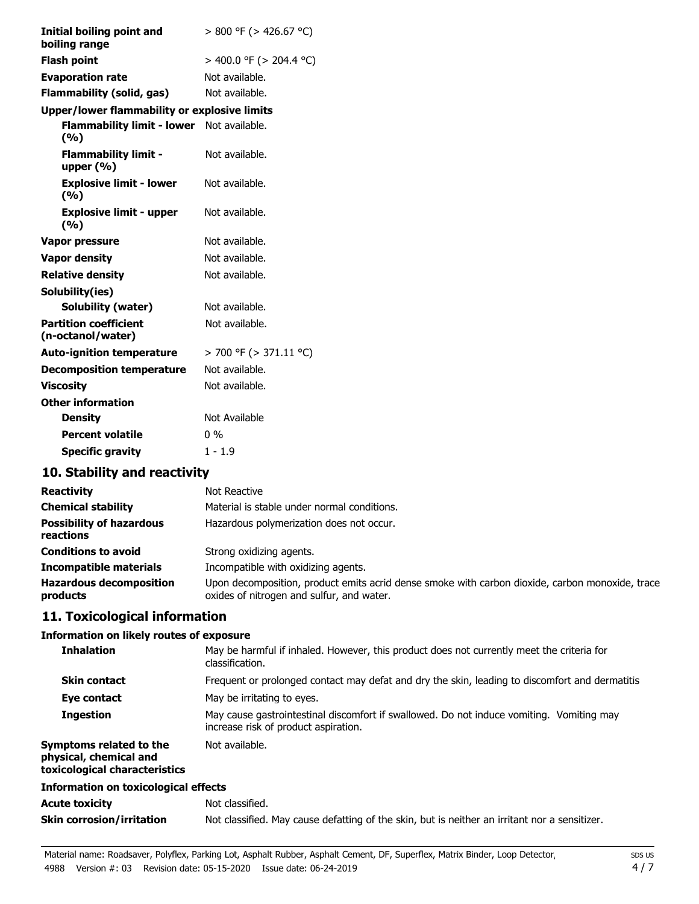| Initial boiling point and<br>boiling range        | > 800 °F (> 426.67 °C)  |
|---------------------------------------------------|-------------------------|
| <b>Flash point</b>                                | > 400.0 °F (> 204.4 °C) |
| <b>Evaporation rate</b>                           | Not available.          |
| Flammability (solid, gas)                         | Not available.          |
| Upper/lower flammability or explosive limits      |                         |
| Flammability limit - lower Not available.<br>(%)  |                         |
| <b>Flammability limit -</b><br>upper (%)          | Not available.          |
| <b>Explosive limit - lower</b><br>(%)             | Not available.          |
| <b>Explosive limit - upper</b><br>(%)             | Not available.          |
| Vapor pressure                                    | Not available.          |
| <b>Vapor density</b>                              | Not available.          |
| <b>Relative density</b>                           | Not available.          |
| Solubility(ies)                                   |                         |
| <b>Solubility (water)</b>                         | Not available.          |
| <b>Partition coefficient</b><br>(n-octanol/water) | Not available.          |
| <b>Auto-ignition temperature</b>                  | > 700 °F (> 371.11 °C)  |
| <b>Decomposition temperature</b>                  | Not available.          |
| <b>Viscosity</b>                                  | Not available.          |
| <b>Other information</b>                          |                         |
| <b>Density</b>                                    | Not Available           |
| <b>Percent volatile</b>                           | $0\%$                   |
| <b>Specific gravity</b>                           | $1 - 1.9$               |

# **10. Stability and reactivity**

| <b>Reactivity</b>                            | Not Reactive                                                                                                                                 |
|----------------------------------------------|----------------------------------------------------------------------------------------------------------------------------------------------|
| <b>Chemical stability</b>                    | Material is stable under normal conditions.                                                                                                  |
| <b>Possibility of hazardous</b><br>reactions | Hazardous polymerization does not occur.                                                                                                     |
| <b>Conditions to avoid</b>                   | Strong oxidizing agents.                                                                                                                     |
| <b>Incompatible materials</b>                | Incompatible with oxidizing agents.                                                                                                          |
| <b>Hazardous decomposition</b><br>products   | Upon decomposition, product emits acrid dense smoke with carbon dioxide, carbon monoxide, trace<br>oxides of nitrogen and sulfur, and water. |

# **11. Toxicological information**

### **Information on likely routes of exposure**

| <b>Inhalation</b>                                                                  | May be harmful if inhaled. However, this product does not currently meet the criteria for<br>classification.                     |  |
|------------------------------------------------------------------------------------|----------------------------------------------------------------------------------------------------------------------------------|--|
| <b>Skin contact</b>                                                                | Frequent or prolonged contact may defat and dry the skin, leading to discomfort and dermatitis                                   |  |
| Eye contact                                                                        | May be irritating to eyes.                                                                                                       |  |
| <b>Ingestion</b>                                                                   | May cause gastrointestinal discomfort if swallowed. Do not induce vomiting. Vomiting may<br>increase risk of product aspiration. |  |
| Symptoms related to the<br>physical, chemical and<br>toxicological characteristics | Not available.                                                                                                                   |  |
| Information on toxicological effects                                               |                                                                                                                                  |  |
| <b>Acute toxicity</b>                                                              | Not classified.                                                                                                                  |  |
| <b>Skin corrosion/irritation</b>                                                   | Not classified. May cause defatting of the skin, but is neither an irritant nor a sensitizer.                                    |  |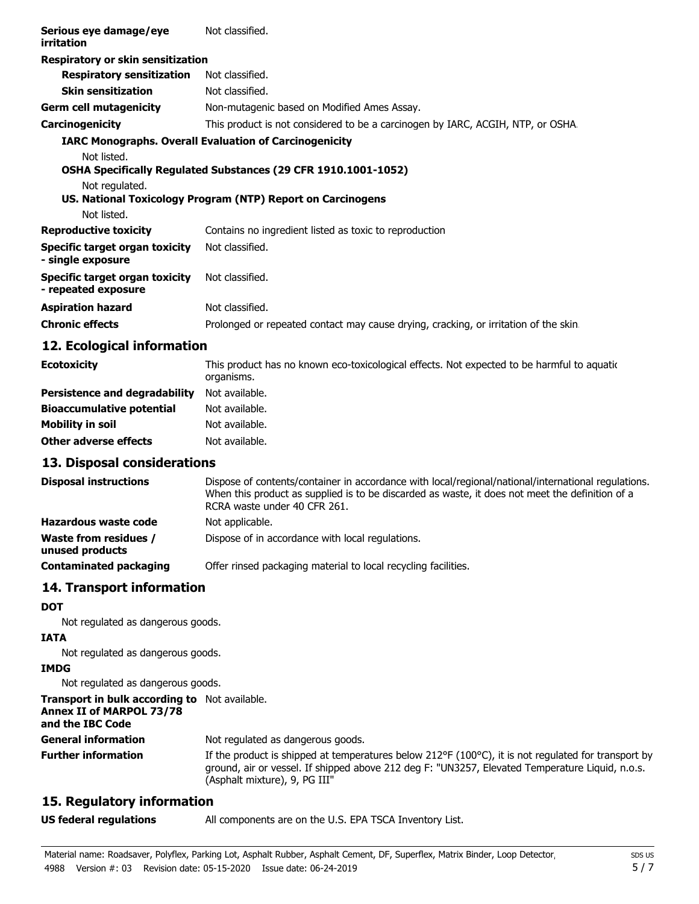| Serious eye damage/eye<br>irritation                  | Not classified.                                                                     |
|-------------------------------------------------------|-------------------------------------------------------------------------------------|
| Respiratory or skin sensitization                     |                                                                                     |
| <b>Respiratory sensitization</b>                      | Not classified.                                                                     |
| <b>Skin sensitization</b>                             | Not classified.                                                                     |
| Germ cell mutagenicity                                | Non-mutagenic based on Modified Ames Assay.                                         |
| Carcinogenicity                                       | This product is not considered to be a carcinogen by IARC, ACGIH, NTP, or OSHA.     |
| Not listed.                                           | <b>IARC Monographs. Overall Evaluation of Carcinogenicity</b>                       |
|                                                       | <b>OSHA Specifically Requlated Substances (29 CFR 1910.1001-1052)</b>               |
| Not regulated.                                        |                                                                                     |
|                                                       | US. National Toxicology Program (NTP) Report on Carcinogens                         |
| Not listed.                                           |                                                                                     |
| <b>Reproductive toxicity</b>                          | Contains no ingredient listed as toxic to reproduction                              |
| Specific target organ toxicity<br>- single exposure   | Not classified.                                                                     |
| Specific target organ toxicity<br>- repeated exposure | Not classified.                                                                     |
| <b>Aspiration hazard</b>                              | Not classified.                                                                     |
| <b>Chronic effects</b>                                | Prolonged or repeated contact may cause drying, cracking, or irritation of the skin |
| 12 Ecological information                             |                                                                                     |

### **12. Ecological information**

| <b>Ecotoxicity</b>                   | This product has no known eco-toxicological effects. Not expected to be harmful to aquation<br>organisms. |
|--------------------------------------|-----------------------------------------------------------------------------------------------------------|
| <b>Persistence and degradability</b> | Not available.                                                                                            |
| <b>Bioaccumulative potential</b>     | Not available.                                                                                            |
| Mobility in soil                     | Not available.                                                                                            |
| Other adverse effects                | Not available.                                                                                            |

#### **13. Disposal considerations**

| <b>Disposal instructions</b>                    | Dispose of contents/container in accordance with local/regional/national/international regulations.<br>When this product as supplied is to be discarded as waste, it does not meet the definition of a<br>RCRA waste under 40 CFR 261. |
|-------------------------------------------------|----------------------------------------------------------------------------------------------------------------------------------------------------------------------------------------------------------------------------------------|
| Hazardous waste code                            | Not applicable.                                                                                                                                                                                                                        |
| <b>Waste from residues /</b><br>unused products | Dispose of in accordance with local regulations.                                                                                                                                                                                       |
| <b>Contaminated packaging</b>                   | Offer rinsed packaging material to local recycling facilities.                                                                                                                                                                         |

# **14. Transport information**

#### **DOT**

Not regulated as dangerous goods.

#### **IATA** Not regulated as dangerous goods.

**IMDG**

Not regulated as dangerous goods.

**Transport in bulk according to** Not available.

# **Annex II of MARPOL 73/78**

**and the IBC Code**

**General information** Not regulated as dangerous goods.

If the product is shipped at temperatures below  $212^{\circ}F(100^{\circ}C)$ , it is not requlated for transport by ground, air or vessel. If shipped above 212 deg F: "UN3257, Elevated Temperature Liquid, n.o.s. (Asphalt mixture), 9, PG III" **Further information**

# **15. Regulatory information**

**US federal regulations** All components are on the U.S. EPA TSCA Inventory List.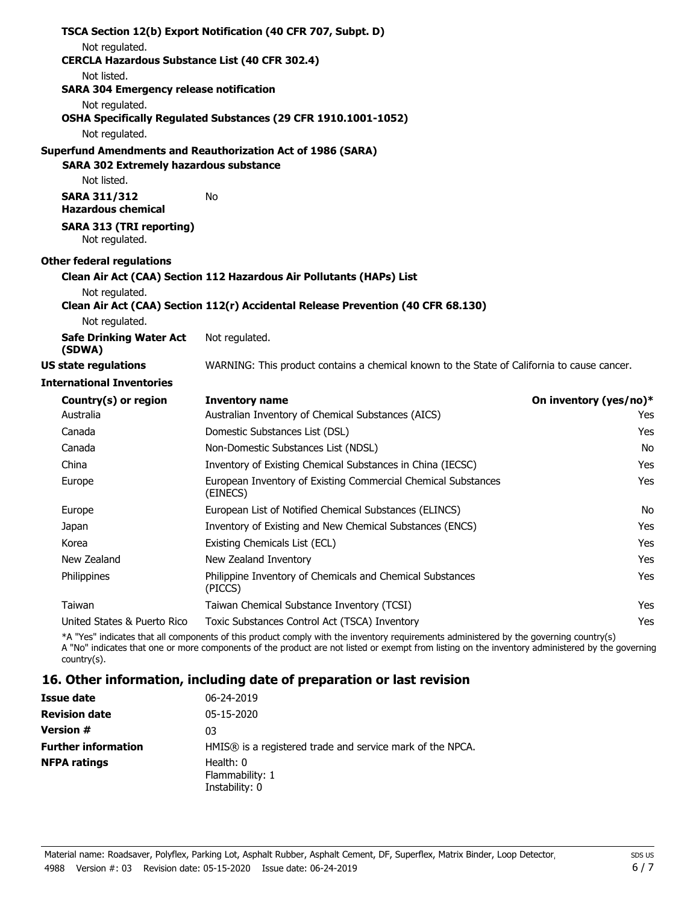|                                                                         | TSCA Section 12(b) Export Notification (40 CFR 707, Subpt. D)                                                                                                                                                                                                                              |                        |
|-------------------------------------------------------------------------|--------------------------------------------------------------------------------------------------------------------------------------------------------------------------------------------------------------------------------------------------------------------------------------------|------------------------|
| Not regulated.<br><b>CERCLA Hazardous Substance List (40 CFR 302.4)</b> |                                                                                                                                                                                                                                                                                            |                        |
| Not listed.                                                             |                                                                                                                                                                                                                                                                                            |                        |
| <b>SARA 304 Emergency release notification</b>                          |                                                                                                                                                                                                                                                                                            |                        |
| Not regulated.                                                          |                                                                                                                                                                                                                                                                                            |                        |
|                                                                         | OSHA Specifically Regulated Substances (29 CFR 1910.1001-1052)                                                                                                                                                                                                                             |                        |
| Not regulated.                                                          |                                                                                                                                                                                                                                                                                            |                        |
|                                                                         | Superfund Amendments and Reauthorization Act of 1986 (SARA)                                                                                                                                                                                                                                |                        |
| <b>SARA 302 Extremely hazardous substance</b>                           |                                                                                                                                                                                                                                                                                            |                        |
| Not listed.                                                             |                                                                                                                                                                                                                                                                                            |                        |
| <b>SARA 311/312</b><br><b>Hazardous chemical</b>                        | No                                                                                                                                                                                                                                                                                         |                        |
| <b>SARA 313 (TRI reporting)</b><br>Not regulated.                       |                                                                                                                                                                                                                                                                                            |                        |
| <b>Other federal regulations</b>                                        |                                                                                                                                                                                                                                                                                            |                        |
|                                                                         | Clean Air Act (CAA) Section 112 Hazardous Air Pollutants (HAPs) List                                                                                                                                                                                                                       |                        |
| Not regulated.                                                          |                                                                                                                                                                                                                                                                                            |                        |
|                                                                         | Clean Air Act (CAA) Section 112(r) Accidental Release Prevention (40 CFR 68.130)                                                                                                                                                                                                           |                        |
| Not regulated.                                                          |                                                                                                                                                                                                                                                                                            |                        |
| <b>Safe Drinking Water Act</b><br>(SDWA)                                | Not regulated.                                                                                                                                                                                                                                                                             |                        |
| <b>US state regulations</b>                                             | WARNING: This product contains a chemical known to the State of California to cause cancer.                                                                                                                                                                                                |                        |
| <b>International Inventories</b>                                        |                                                                                                                                                                                                                                                                                            |                        |
| Country(s) or region                                                    | <b>Inventory name</b>                                                                                                                                                                                                                                                                      | On inventory (yes/no)* |
| Australia                                                               | Australian Inventory of Chemical Substances (AICS)                                                                                                                                                                                                                                         | Yes                    |
| Canada                                                                  | Domestic Substances List (DSL)                                                                                                                                                                                                                                                             | Yes                    |
| Canada                                                                  | Non-Domestic Substances List (NDSL)                                                                                                                                                                                                                                                        | No.                    |
| China                                                                   | Inventory of Existing Chemical Substances in China (IECSC)                                                                                                                                                                                                                                 | Yes                    |
| Europe                                                                  | European Inventory of Existing Commercial Chemical Substances<br>(EINECS)                                                                                                                                                                                                                  | Yes                    |
| Europe                                                                  | European List of Notified Chemical Substances (ELINCS)                                                                                                                                                                                                                                     | No.                    |
| Japan                                                                   | Inventory of Existing and New Chemical Substances (ENCS)                                                                                                                                                                                                                                   | Yes                    |
| Korea                                                                   | Existing Chemicals List (ECL)                                                                                                                                                                                                                                                              | Yes                    |
| New Zealand                                                             | New Zealand Inventory                                                                                                                                                                                                                                                                      | Yes                    |
| Philippines                                                             | Philippine Inventory of Chemicals and Chemical Substances<br>(PICCS)                                                                                                                                                                                                                       | Yes                    |
| Taiwan                                                                  | Taiwan Chemical Substance Inventory (TCSI)                                                                                                                                                                                                                                                 | Yes                    |
| United States & Puerto Rico                                             | Toxic Substances Control Act (TSCA) Inventory                                                                                                                                                                                                                                              | Yes                    |
| $country(s)$ .                                                          | *A "Yes" indicates that all components of this product comply with the inventory requirements administered by the governing country(s)<br>A "No" indicates that one or more components of the product are not listed or exempt from listing on the inventory administered by the governing |                        |

# **16. Other information, including date of preparation or last revision**

| Issue date                 | 06-24-2019                                                |
|----------------------------|-----------------------------------------------------------|
| <b>Revision date</b>       | 05-15-2020                                                |
| <b>Version #</b>           | 03                                                        |
| <b>Further information</b> | HMIS® is a registered trade and service mark of the NPCA. |
| <b>NFPA ratings</b>        | Health: 0<br>Flammability: 1<br>Instability: 0            |